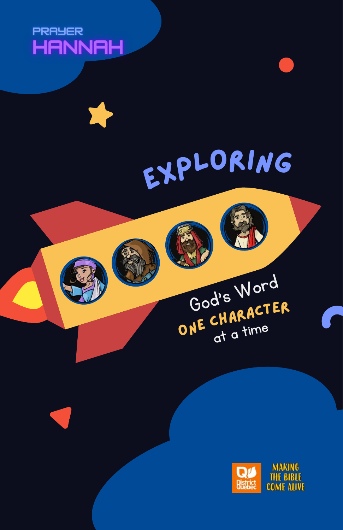



Explorin<sup>g</sup>

God's Word

ONE CHARACTER





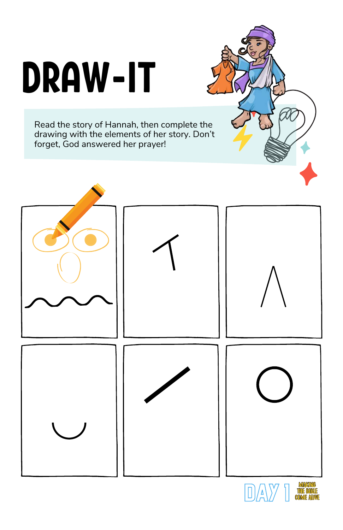## DRAW-IT

Read the story of Hannah, then complete the drawing with the elements of her story. Don't forget, God answered her prayer!





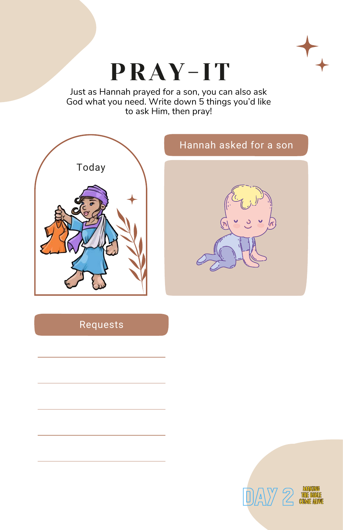

## PRAY-IT

Just as Hannah prayed for a son, you can also ask God what you need. Write down 5 things you'd like to ask Him, then pray!



## Requests



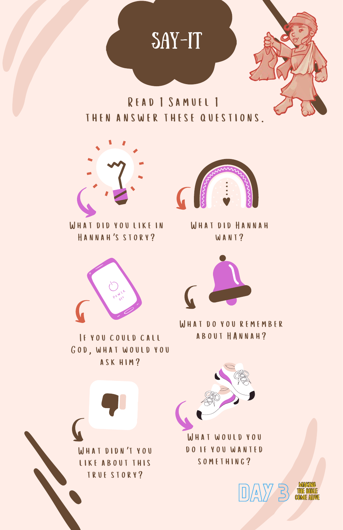





What did you like in Hannah's story?



IF YOU COULD CALL God, what would you ask him?



What didn't you like about this true story?



WHAT DID HANNAH WANT?



WHAT DO YOU REMEMBER<br>ABOUT HANNAH?



What would you do if you wanted something?



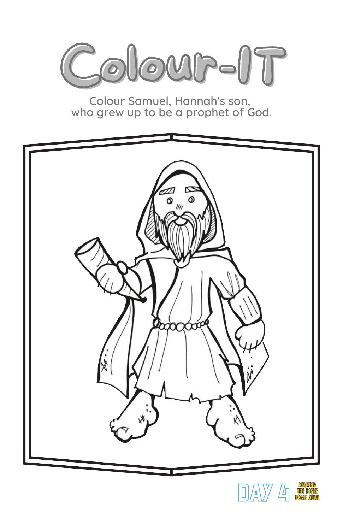

Colour Samuel, Hannah's son, who grew up to be a prophet of God.





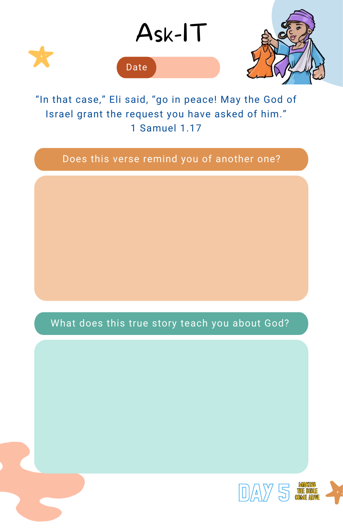

"In that case," Eli said, "go in peace! May the God of Israel grant the request you have asked of him." 1 Samuel 1.17

## Does this verse remind you of another one?

What does this true story teach you about God?